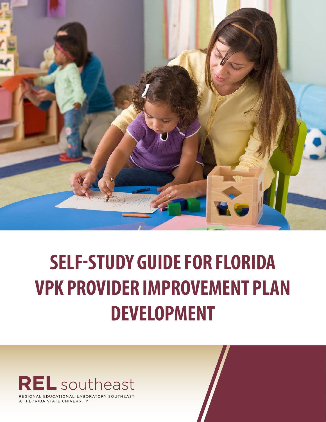

# **SELF-STUDY GUIDE FOR FLORIDA VPK PROVIDER IMPROVEMENT PLAN DEVELOPMENT**



REGIONAL EDUCATIONAL LABORATORY SOUTHEAST AT FLORIDA STATE UNIVERSITY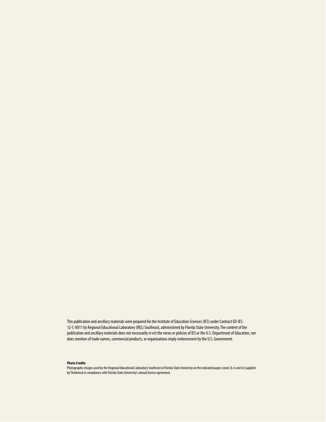This publication and ancillary materials were prepared for the Institute of Education Sciences (IES) under Contract ED-IES-12-C-0011 by Regional Educational Laboratory (REL) Southeast, administered by Florida State University. The content of the publication and ancillary materials does not necessarily re ect the views or policies of IES or the U.S. Department of Education, nor does mention of trade names, commercial products, or organizations imply endorsement by the U.S. Government.

#### **Photo Credits**

Photographic images used by the Regional Educational Laboratory Southeast at Florida State University on the indicated pages (cover, D, iv and vi) supplied by Thinkstock in compliance with Florida State University's annual license agreement.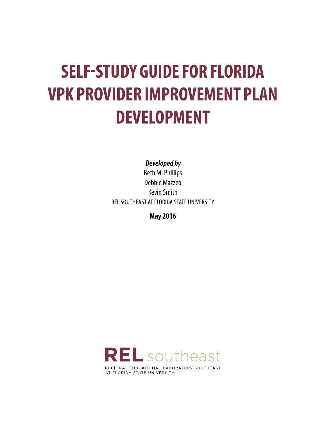# **SELF-STUDY GUIDE FOR FLORIDA VPK PROVIDER IMPROVEMENT PLAN DEVELOPMENT**

**Developed by** Beth M. Phillips Debbie Mazzeo Kevin Smith REL SOUTHEAST AT FLORIDA STATE UNIVERSITY

**May 2016**

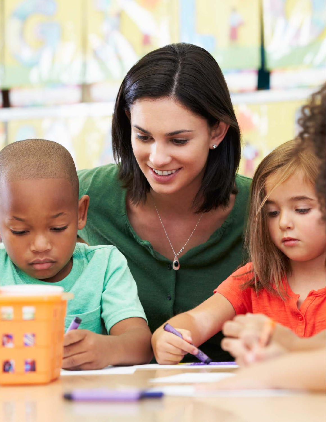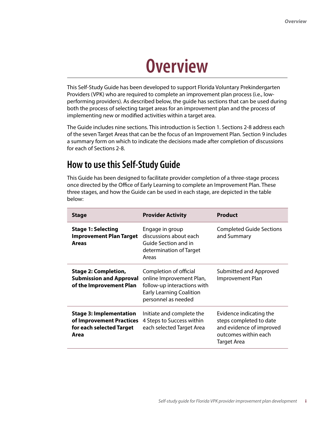# **Overview**

This Self-Study Guide has been developed to support Florida Voluntary Prekindergarten Providers (VPK) who are required to complete an improvement plan process (i.e., lowperforming providers). As described below, the guide has sections that can be used during both the process of selecting target areas for an improvement plan and the process of implementing new or modified activities within a target area.

The Guide includes nine sections. This introduction is Section 1. Sections 2-8 address each of the seven Target Areas that can be the focus of an Improvement Plan. Section 9 includes a summary form on which to indicate the decisions made after completion of discussions for each of Sections 2-8.

### **How to use this Self-Study Guide**

This Guide has been designed to facilitate provider completion of a three-stage process once directed by the Office of Early Learning to complete an Improvement Plan. These three stages, and how the Guide can be used in each stage, are depicted in the table below:

| <b>Stage</b>                                                                                   | <b>Provider Activity</b>                                                                                                                    | <b>Product</b>                                                                                                        |
|------------------------------------------------------------------------------------------------|---------------------------------------------------------------------------------------------------------------------------------------------|-----------------------------------------------------------------------------------------------------------------------|
| <b>Stage 1: Selecting</b><br><b>Improvement Plan Target</b><br><b>Areas</b>                    | Engage in group<br>discussions about each<br>Guide Section and in<br>determination of Target<br>Areas                                       | <b>Completed Guide Sections</b><br>and Summary                                                                        |
| <b>Stage 2: Completion,</b><br><b>Submission and Approval</b><br>of the Improvement Plan       | Completion of official<br>online Improvement Plan,<br>follow-up interactions with<br><b>Early Learning Coalition</b><br>personnel as needed | Submitted and Approved<br>Improvement Plan                                                                            |
| <b>Stage 3: Implementation</b><br>of Improvement Practices<br>for each selected Target<br>Area | Initiate and complete the<br>4 Steps to Success within<br>each selected Target Area                                                         | Evidence indicating the<br>steps completed to date<br>and evidence of improved<br>outcomes within each<br>Target Area |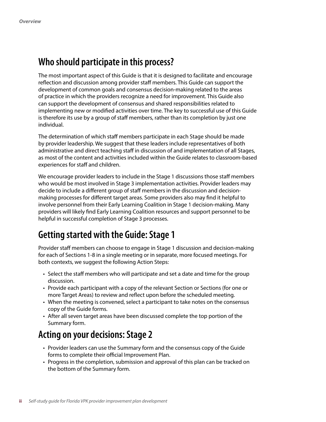### **Who should participate in this process?**

The most important aspect of this Guide is that it is designed to facilitate and encourage reflection and discussion among provider staff members. This Guide can support the development of common goals and consensus decision-making related to the areas of practice in which the providers recognize a need for improvement. This Guide also can support the development of consensus and shared responsibilities related to implementing new or modified activities over time. The key to successful use of this Guide is therefore its use by a group of staff members, rather than its completion by just one individual.

The determination of which staff members participate in each Stage should be made by provider leadership. We suggest that these leaders include representatives of both administrative and direct teaching staff in discussion of and implementation of all Stages, as most of the content and activities included within the Guide relates to classroom-based experiences for staff and children.

We encourage provider leaders to include in the Stage 1 discussions those staff members who would be most involved in Stage 3 implementation activities. Provider leaders may decide to include a different group of staff members in the discussion and decisionmaking processes for different target areas. Some providers also may find it helpful to involve personnel from their Early Learning Coalition in Stage 1 decision-making. Many providers will likely find Early Learning Coalition resources and support personnel to be helpful in successful completion of Stage 3 processes.

### **Getting started with the Guide: Stage 1**

Provider staff members can choose to engage in Stage 1 discussion and decision-making for each of Sections 1-8 in a single meeting or in separate, more focused meetings. For both contexts, we suggest the following Action Steps:

- Select the staff members who will participate and set a date and time for the group discussion.
- Provide each participant with a copy of the relevant Section or Sections (for one or more Target Areas) to review and reflect upon before the scheduled meeting.
- When the meeting is convened, select a participant to take notes on the consensus copy of the Guide forms.
- After all seven target areas have been discussed complete the top portion of the Summary form.

## **Acting on your decisions: Stage 2**

- Provider leaders can use the Summary form and the consensus copy of the Guide forms to complete their official Improvement Plan.
- Progress in the completion, submission and approval of this plan can be tracked on the bottom of the Summary form.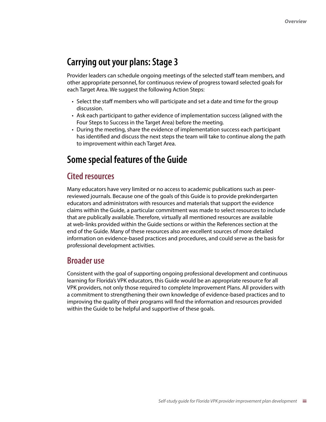### **Carrying out your plans: Stage 3**

Provider leaders can schedule ongoing meetings of the selected staff team members, and other appropriate personnel, for continuous review of progress toward selected goals for each Target Area. We suggest the following Action Steps:

- Select the staff members who will participate and set a date and time for the group discussion.
- Ask each participant to gather evidence of implementation success (aligned with the Four Steps to Success in the Target Area) before the meeting.
- During the meeting, share the evidence of implementation success each participant has identified and discuss the next steps the team will take to continue along the path to improvement within each Target Area.

### **Some special features of the Guide**

### **Cited resources**

Many educators have very limited or no access to academic publications such as peerreviewed journals. Because one of the goals of this Guide is to provide prekindergarten educators and administrators with resources and materials that support the evidence claims within the Guide, a particular commitment was made to select resources to include that are publically available. Therefore, virtually all mentioned resources are available at web-links provided within the Guide sections or within the References section at the end of the Guide. Many of these resources also are excellent sources of more detailed information on evidence-based practices and procedures, and could serve as the basis for professional development activities.

### **Broader use**

Consistent with the goal of supporting ongoing professional development and continuous learning for Florida's VPK educators, this Guide would be an appropriate resource for all VPK providers, not only those required to complete Improvement Plans. All providers with a commitment to strengthening their own knowledge of evidence-based practices and to improving the quality of their programs will find the information and resources provided within the Guide to be helpful and supportive of these goals.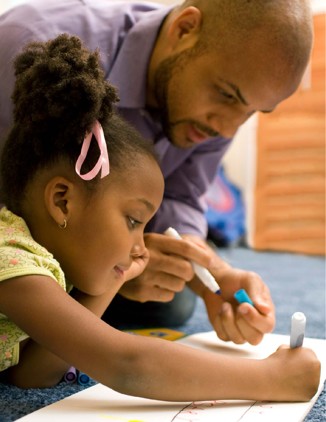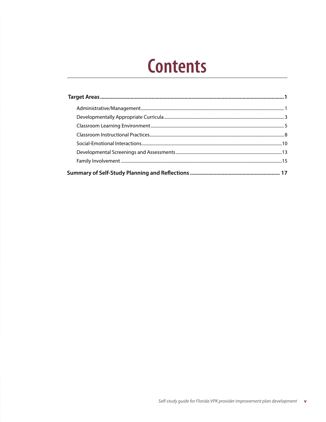# **Contents**

| Summary of Self-Study Planning and Reflections ……………………………………………………………………………………… |  |
|----------------------------------------------------------------------------------|--|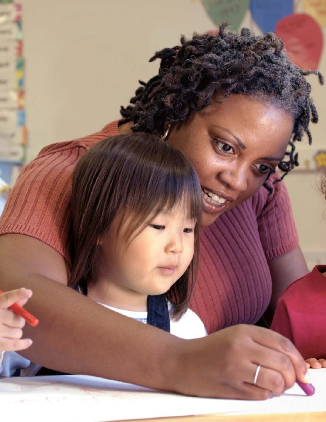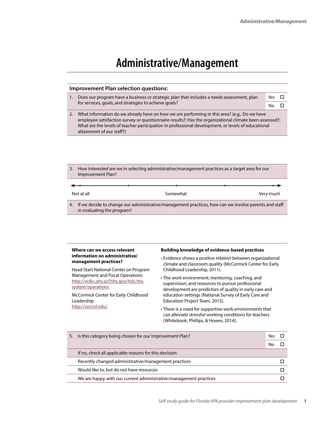## **Administrative/Management**

#### **Improvement Plan selection questions:**

- 1. Does our program have a business or strategic plan that includes a needs assessment, plan for services, goals, and strategies to achieve goals? Yes  $\Box$ No<sub>D</sub>
- 2. What information do we already have on how we are performing in this area? (e.g., Do we have employee satisfaction survey or questionnaire results?; Has the organizational climate been assessed?; What are the levels of teacher participation in professional development, or levels of educational attainment of our staff?)
- 3. How interested are we in selecting administrative/management practices as a target area for our Improvement Plan?

| Not at all                 | Somewhat                                                                                                | Very much |
|----------------------------|---------------------------------------------------------------------------------------------------------|-----------|
| in evaluating the program? | 4. If we decide to change our administrative/management practices, how can we involve parents and staff |           |

#### **Where can we access relevant information on administrative/ management practices?**

Head Start National Center on Program Management and Fiscal Operations [http://eclkc.ohs.acf.hhs.gov/hslc/tta](http://eclkc.ohs.acf.hhs.gov/hslc/tta-system/operations)[system/operations](http://eclkc.ohs.acf.hhs.gov/hslc/tta-system/operations)

McCormick Center for Early Childhood Leadership <http://cecl.nl.edu/>

#### **Building knowledge of evidence-based practices**

- Evidence shows a positive relation between organizational climate and classroom quality (McCormick Center for Early Childhood Leadership, 2011).
- The work environment; mentoring, coaching, and supervision; and resources to pursue professional development are predictors of quality in early care and education settings (National Survey of Early Care and Education Project Team, 2015).
- There is a need for supportive work environments that can alleviate stressful working conditions for teachers (Whitebook, Phillips, & Howes, 2014).

| 5. | Is this category being chosen for our Improvement Plan?           | Yes |  |
|----|-------------------------------------------------------------------|-----|--|
|    |                                                                   |     |  |
|    | If no, check all applicable reasons for this decision:            |     |  |
|    | Recently changed administrative/management practices              |     |  |
|    | Would like to, but do not have resources                          |     |  |
|    | We are happy with our current administrative/management practices |     |  |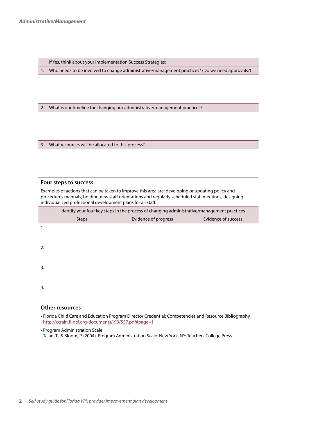If Yes, think about your Implementation Success Strategies:

1. Who needs to be involved to change administrative/management practices? (Do we need approvals?)

2. What is our timeline for changing our administrative/management practices?

3. What resources will be allocated to this process?

#### **Four steps to success**

Examples of actions that can be taken to improve this area are: developing or updating policy and procedures manuals, holding new staff orientations and regularly scheduled staff meetings, designing individualized professional development plans for all staff.

|    | Identify your four key steps in the process of changing administrative/management practices |                      |                     |
|----|---------------------------------------------------------------------------------------------|----------------------|---------------------|
|    | <b>Steps</b>                                                                                | Evidence of progress | Evidence of success |
| 1. |                                                                                             |                      |                     |
|    |                                                                                             |                      |                     |
|    |                                                                                             |                      |                     |
| 2. |                                                                                             |                      |                     |
|    |                                                                                             |                      |                     |
| 3. |                                                                                             |                      |                     |
|    |                                                                                             |                      |                     |
|    |                                                                                             |                      |                     |
| 4. |                                                                                             |                      |                     |
|    |                                                                                             |                      |                     |
|    |                                                                                             |                      |                     |

#### **Other resources**

• Florida Child Care and Education Program Director Credential: Competencies and Resource Bibliography <http://ccrain.fl-dcf.org/documents/-99/557.pdf#page=1>

• Program Administration Scale

Talan, T., & Bloom, P. (2004). Program Administration Scale. New York, NY: Teachers College Press.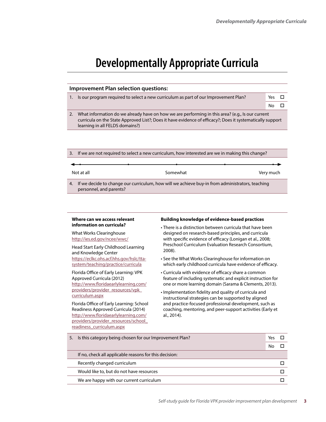# **Developmentally Appropriate Curricula**

|                  | <b>Improvement Plan selection questions:</b>                                                                                                                                                                                                     |           |   |  |  |
|------------------|--------------------------------------------------------------------------------------------------------------------------------------------------------------------------------------------------------------------------------------------------|-----------|---|--|--|
| 1.               | Is our program required to select a new curriculum as part of our Improvement Plan?                                                                                                                                                              | Yes       | П |  |  |
|                  |                                                                                                                                                                                                                                                  | No.       | п |  |  |
| 2.               | What information do we already have on how we are performing in this area? (e.g., Is our current<br>curricula on the State Approved List?; Does it have evidence of efficacy?; Does it systematically support<br>learning in all FELDS domains?) |           |   |  |  |
|                  |                                                                                                                                                                                                                                                  |           |   |  |  |
| $\overline{3}$ . | If we are not required to select a new curriculum, how interested are we in making this change?                                                                                                                                                  |           |   |  |  |
|                  |                                                                                                                                                                                                                                                  |           |   |  |  |
|                  | Somewhat<br>Not at all                                                                                                                                                                                                                           | Very much |   |  |  |
| 4.               | If we decide to change our curriculum, how will we achieve buy-in from administrators, teaching                                                                                                                                                  |           |   |  |  |

#### **Where can we access relevant information on curricula?**

personnel, and parents?

What Works Clearinghouse <http://ies.ed.gov/ncee/wwc/>

Head Start Early Childhood Learning and Knowledge Center [https://eclkc.ohs.acf.hhs.gov/hslc/tta](https://eclkc.ohs.acf.hhs.gov/hslc/tta-system/teaching/practice/curricula)[system/teaching/practice/curricula](https://eclkc.ohs.acf.hhs.gov/hslc/tta-system/teaching/practice/curricula)

Florida Office of Early Learning: VPK Approved Curricula (2012) [http://www.floridaearlylearning.com/](http://www.floridaearlylearning.com/providers/provider_resources/vpk_curriculum.aspx) [providers/provider\\_resources/vpk\\_](http://www.floridaearlylearning.com/providers/provider_resources/vpk_curriculum.aspx) [curriculum.aspx](http://www.floridaearlylearning.com/providers/provider_resources/vpk_curriculum.aspx)

Florida Office of Early Learning: School Readiness Approved Curricula (2014) [http://www.floridaearlylearning.com/](http://www.floridaearlylearning.com/providers/provider_resources/school_readiness_curriculum.aspx) [providers/provider\\_resources/school\\_](http://www.floridaearlylearning.com/providers/provider_resources/school_readiness_curriculum.aspx) [readiness\\_curriculum.aspx](http://www.floridaearlylearning.com/providers/provider_resources/school_readiness_curriculum.aspx)

#### **Building knowledge of evidence-based practices**

- There is a distinction between curricula that have been designed on research-based principles, and curricula with specific evidence of efficacy (Lonigan et al., 2008; Preschool Curriculum Evaluation Research Consortium, 2008).
- See the What Works Clearinghouse for information on which early childhood curricula have evidence of efficacy.
- Curricula with evidence of efficacy share a common feature of including systematic and explicit instruction for one or more learning domain (Sarama & Clements, 2013).
- Implementation fidelity and quality of curricula and instructional strategies can be supported by aligned and practice-focused professional development, such as coaching, mentoring, and peer-support activities (Early et al., 2014).

| 5. Is this category being chosen for our Improvement Plan? | Yes |  |
|------------------------------------------------------------|-----|--|
|                                                            | No  |  |
| If no, check all applicable reasons for this decision:     |     |  |
| Recently changed curriculum                                |     |  |
| Would like to, but do not have resources                   |     |  |
| We are happy with our current curriculum                   |     |  |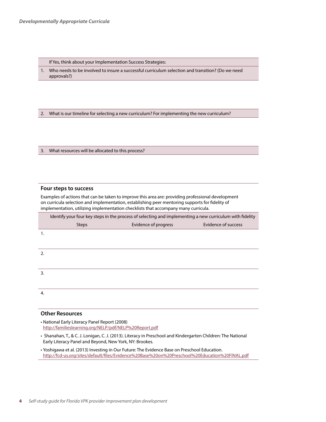If Yes, think about your Implementation Success Strategies:

1. Who needs to be involved to insure a successful curriculum selection and transition? (Do we need approvals?)

2. What is our timeline for selecting a new curriculum? For implementing the new curriculum?

3. What resources will be allocated to this process?

#### **Four steps to success**

Examples of actions that can be taken to improve this area are: providing professional development on curricula selection and implementation, establishing peer mentoring supports for fidelity of implementation, utilizing implementation checklists that accompany many curricula.

|               | Identify your four key steps in the process of selecting and implementing a new curriculum with fidelity |                      |                     |
|---------------|----------------------------------------------------------------------------------------------------------|----------------------|---------------------|
|               | <b>Steps</b>                                                                                             | Evidence of progress | Evidence of success |
|               |                                                                                                          |                      |                     |
|               |                                                                                                          |                      |                     |
| $\mathcal{D}$ |                                                                                                          |                      |                     |
|               |                                                                                                          |                      |                     |
| 3.            |                                                                                                          |                      |                     |
|               |                                                                                                          |                      |                     |
| 4.            |                                                                                                          |                      |                     |

#### **Other Resources**

- National Early Literacy Panel Report (2008) <http://familieslearning.org/NELP/pdf/NELP%20Report.pdf>
- Shanahan, T., & C. J. Lonigan, C. J. (2013). Literacy in Preschool and Kindergarten Children: The National Early Literacy Panel and Beyond, New York, NY: Brookes.
- Yoshigawa et al. (2013) Investing in Our Future: The Evidence Base on Preschool Education. <http://fcd-us.org/sites/default/files/Evidence%20Base%20on%20Preschool%20Education%20FINAL.pdf>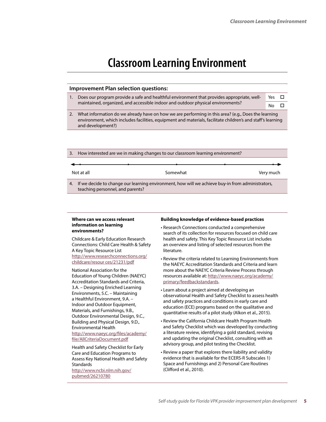## **Classroom Learning Environment**

#### **Improvement Plan selection questions:**

- 1. Does our program provide a safe and healthful environment that provides appropriate, wellmaintained, organized, and accessible indoor and outdoor physical environments? Yes  $\Box$  $No$   $\Box$
- 2. What information do we already have on how we are performing in this area? (e.g., Does the learning environment, which includes facilities, equipment and materials, facilitate children's and staff's learning and development?)

3. How interested are we in making changes to our classroom learning environment?

| Not at all                       | Somewhat                                                                                            | Very much |
|----------------------------------|-----------------------------------------------------------------------------------------------------|-----------|
| teaching personnel, and parents? | 4. If we decide to change our learning environment, how will we achieve buy-in from administrators, |           |

#### **Where can we access relevant information on learning environments?**

Childcare & Early Education Research Connections: Child Care Health & Safety A Key Topic Resource List [http://www.researchconnections.org/](http://www.researchconnections.org/childcare/resour ces/21231/pdf) [childcare/resour ces/21231/pdf](http://www.researchconnections.org/childcare/resour ces/21231/pdf)

National Association for the Education of Young Children (NAEYC) Accreditation Standards and Criteria, 3.A. – Designing Enriched Learning Environments, 5.C. – Maintaining a Healthful Environment, 9.A. – Indoor and Outdoor Equipment, Materials, and Furnishings, 9.B., Outdoor Environmental Design, 9.C., Building and Physical Design, 9.D., Environmental Health [http://www.naeyc.org/files/academy/](http://www.naeyc.org/files/academy/file/AllCriteriaDocument.pdf)

[file/AllCriteriaDocument.pdf](http://www.naeyc.org/files/academy/file/AllCriteriaDocument.pdf)

Health and Safety Checklist for Early Care and Education Programs to Assess Key National Health and Safety Standards [http://www.ncbi.nlm.nih.gov/](http://www.ncbi.nlm.nih.gov/pubmed/26210780) [pubmed/26210780](http://www.ncbi.nlm.nih.gov/pubmed/26210780)

#### **Building knowledge of evidence-based practices**

- Research Connections conducted a comprehensive search of its collection for resources focused on child care health and safety. This Key Topic Resource List includes an overview and listing of selected resources from the literature.
- Review the criteria related to Learning Environments from the NAEYC Accreditation Standards and Criteria and learn more about the NAEYC Criteria Review Process through resources available at: [http://www.naeyc.org/academy/](http://www.naeyc.org/academy/primary/feedbackstandards) [primary/feedbackstandards](http://www.naeyc.org/academy/primary/feedbackstandards).
- Learn about a project aimed at developing an observational Health and Safety Checklist to assess health and safety practices and conditions in early care and education (ECE) programs based on the qualitative and quantitative results of a pilot study (Alkon et al., 2015).
- Review the California Childcare Health Program Health and Safety Checklist which was developed by conducting a literature review, identifying a gold standard, revising and updating the original Checklist, consulting with an advisory group, and pilot testing the Checklist.
- Review a paper that explores there liability and validity evidence that is available for the ECERS-R Subscales 1) Space and Furnishings and 2) Personal Care Routines (Clifford et al., 2010).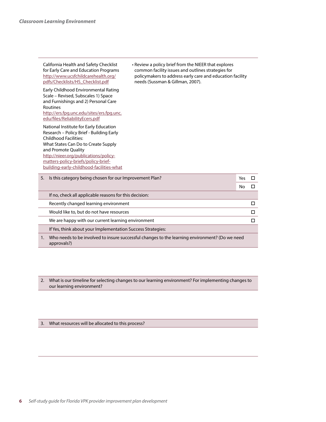| California Health and Safety Checklist<br>for Early Care and Education Programs<br>http://www.ucsfchildcarehealth.org/<br>pdfs/Checklists/HS_Checklist.pdf                                                                                                                                            | • Review a policy brief from the NIEER that explores<br>common facility issues and outlines strategies for<br>policymakers to address early care and education facility<br>needs (Sussman & Gillman, 2007). |     |   |
|-------------------------------------------------------------------------------------------------------------------------------------------------------------------------------------------------------------------------------------------------------------------------------------------------------|-------------------------------------------------------------------------------------------------------------------------------------------------------------------------------------------------------------|-----|---|
| Early Childhood Environmental Rating<br>Scale - Revised, Subscales 1) Space<br>and Furnishings and 2) Personal Care<br>Routines<br>http://ers.fpg.unc.edu/sites/ers.fpg.unc.<br>edu/files/ReliabilityEcers.pdf                                                                                        |                                                                                                                                                                                                             |     |   |
| National Institute for Early Education<br>Research - Policy Brief - Building Early<br>Childhood Facilities:<br>What States Can Do to Create Supply<br>and Promote Quality<br>http://nieer.org/publications/policy-<br>matters-policy-briefs/policy-brief-<br>building-early-childhood-facilities-what |                                                                                                                                                                                                             |     |   |
| Is this category being chosen for our Improvement Plan?<br>5.                                                                                                                                                                                                                                         |                                                                                                                                                                                                             | Yes | □ |
|                                                                                                                                                                                                                                                                                                       |                                                                                                                                                                                                             | No  | □ |
| If no, check all applicable reasons for this decision:                                                                                                                                                                                                                                                |                                                                                                                                                                                                             |     |   |
| Recently changed learning environment                                                                                                                                                                                                                                                                 |                                                                                                                                                                                                             |     | □ |
| Would like to, but do not have resources                                                                                                                                                                                                                                                              |                                                                                                                                                                                                             |     | □ |
| We are happy with our current learning environment                                                                                                                                                                                                                                                    |                                                                                                                                                                                                             |     | □ |

1. Who needs to be involved to insure successful changes to the learning environment? (Do we need approvals?)

2. What is our timeline for selecting changes to our learning environment? For implementing changes to our learning environment?

3. What resources will be allocated to this process?

If Yes, think about your Implementation Success Strategies: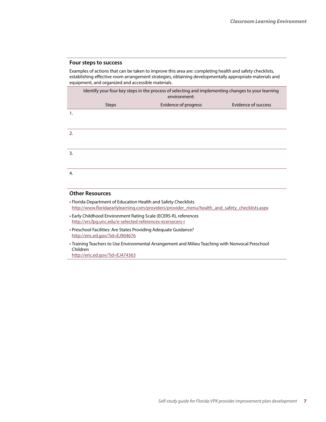#### **Four steps to success**

Examples of actions that can be taken to improve this area are: completing health and safety checklists, establishing effective room arrangement strategies, obtaining developmentally appropriate materials and equipment, and organized and accessible materials.

|    | Identify your four key steps in the process of selecting and implementing changes to your learning<br>environment: |                      |                     |
|----|--------------------------------------------------------------------------------------------------------------------|----------------------|---------------------|
|    | <b>Steps</b>                                                                                                       | Evidence of progress | Evidence of success |
| 1. |                                                                                                                    |                      |                     |
| 2. |                                                                                                                    |                      |                     |
| 3. |                                                                                                                    |                      |                     |
| 4. |                                                                                                                    |                      |                     |

#### **Other Resources**

- Florida Department of Education Health and Safety Checklists [http://www.floridaearlylearning.com/providers/provider\\_menu/health\\_and\\_safety\\_checklists.aspx](http://www.floridaearlylearning.com/providers/provider_menu/health_and_safety_checklists.aspx)
- Early Childhood Environment Rating Scale (ECERS-R), references <http://ers.fpg.unc.edu/e-selected-references-ecersecers-r>
- Preschool Facilities: Are States Providing Adequate Guidance? <http://eric.ed.gov/?id=EJ904676>
- Training Teachers to Use Environmental Arrangement and Milieu Teaching with Nonvocal Preschool Children
- <http://eric.ed.gov/?id=EJ474363>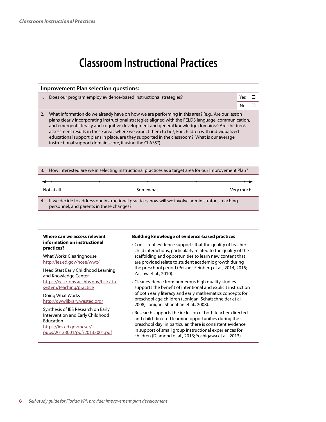# **Classroom Instructional Practices**

|                                                                                                                                                                                                                                                                                                                                                                                                                                                                                                                                                                                  | <b>Improvement Plan selection questions:</b>                                                                                                  |           |  |  |
|----------------------------------------------------------------------------------------------------------------------------------------------------------------------------------------------------------------------------------------------------------------------------------------------------------------------------------------------------------------------------------------------------------------------------------------------------------------------------------------------------------------------------------------------------------------------------------|-----------------------------------------------------------------------------------------------------------------------------------------------|-----------|--|--|
| 1.                                                                                                                                                                                                                                                                                                                                                                                                                                                                                                                                                                               | Does our program employ evidence-based instructional strategies?                                                                              | Yes       |  |  |
|                                                                                                                                                                                                                                                                                                                                                                                                                                                                                                                                                                                  |                                                                                                                                               | No        |  |  |
| What information do we already have on how we are performing in this area? (e.g., Are our lesson<br>2.<br>plans clearly incorporating instructional strategies aligned with the FELDS language, communication,<br>and emergent literacy and cognitive development and general knowledge domains?; Are children's<br>assessment results in these areas where we expect them to be?; For children with individualized<br>educational support plans in place, are they supported in the classroom?; What is our average<br>instructional support domain score, if using the CLASS?) |                                                                                                                                               |           |  |  |
|                                                                                                                                                                                                                                                                                                                                                                                                                                                                                                                                                                                  |                                                                                                                                               |           |  |  |
| 3.                                                                                                                                                                                                                                                                                                                                                                                                                                                                                                                                                                               | How interested are we in selecting instructional practices as a target area for our Improvement Plan?                                         |           |  |  |
|                                                                                                                                                                                                                                                                                                                                                                                                                                                                                                                                                                                  |                                                                                                                                               |           |  |  |
|                                                                                                                                                                                                                                                                                                                                                                                                                                                                                                                                                                                  | Not at all<br>Somewhat                                                                                                                        | Very much |  |  |
| 4.                                                                                                                                                                                                                                                                                                                                                                                                                                                                                                                                                                               | If we decide to address our instructional practices, how will we involve administrators, teaching<br>personnel, and parents in these changes? |           |  |  |
|                                                                                                                                                                                                                                                                                                                                                                                                                                                                                                                                                                                  |                                                                                                                                               |           |  |  |

#### **Where can we access relevant information on instructional practices?**

What Works Clearinghouse <http://ies.ed.gov/ncee/wwc/>

Head Start Early Childhood Learning and Knowledge Center [https://eclkc.ohs.acf.hhs.gov/hslc/tta](https://eclkc.ohs.acf.hhs.gov/hslc/tta-system/teaching/practice)[system/teaching/practice](https://eclkc.ohs.acf.hhs.gov/hslc/tta-system/teaching/practice)

Doing What Works <http://dwwlibrary.wested.org/>

Synthesis of IES Research on Early Intervention and Early Childhood **Education** [https://ies.ed.gov/ncser/](https://ies.ed.gov/ncser/pubs/20133001/pdf/20133001.pdf) [pubs/20133001/pdf/20133001.pdf](https://ies.ed.gov/ncser/pubs/20133001/pdf/20133001.pdf)

#### **Building knowledge of evidence-based practices**

• Consistent evidence supports that the quality of teacherchild interactions, particularly related to the quality of the scaffolding and opportunities to learn new content that are provided relate to student academic growth during the preschool period (Peisner-Feinberg et al., 2014, 2015; Zaslow et al., 2010).

• Clear evidence from numerous high quality studies supports the benefit of intentional and explicit instruction of both early literacy and early mathematics concepts for preschool age children (Lonigan, Schatschneider et al., 2008; Lonigan, Shanahan et al., 2008).

• Research supports the inclusion of both teacher-directed and child-directed learning opportunities during the preschool day; in particular, there is consistent evidence in support of small group instructional experiences for children (Diamond et al., 2013; Yoshigawa et al., 2013).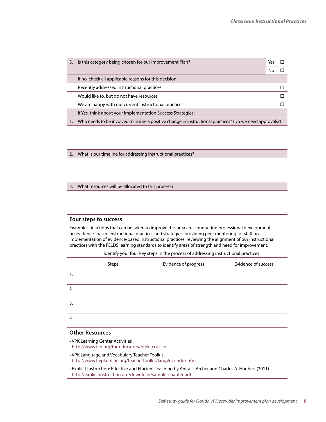| 5. | Is this category being chosen for our Improvement Plan?                                                  | Yes |  |
|----|----------------------------------------------------------------------------------------------------------|-----|--|
|    |                                                                                                          | No  |  |
|    | If no, check all applicable reasons for this decision:                                                   |     |  |
|    | Recently addressed instructional practices                                                               |     |  |
|    | Would like to, but do not have resources                                                                 |     |  |
|    | We are happy with our current instructional practices                                                    |     |  |
|    | If Yes, think about your Implementation Success Strategies:                                              |     |  |
|    | Who needs to be involved to insure a positive change in instructional practices? (Do we need approvals?) |     |  |

2. What is our timeline for addressing instructional practices?

3. What resources will be allocated to this process?

#### **Four steps to success**

Examples of actions that can be taken to improve this area are: conducting professional development on evidence- based instructional practices and strategies, providing peer mentoring for staff on implementation of evidence-based instructional practices, reviewing the alignment of our instructional practices with the FELDS learning standards to identify areas of strength and need for improvement.

|                  | Identify your four key steps in the process of addressing instructional practices |                      |                     |  |
|------------------|-----------------------------------------------------------------------------------|----------------------|---------------------|--|
|                  | <b>Steps</b>                                                                      | Evidence of progress | Evidence of success |  |
| 1.               |                                                                                   |                      |                     |  |
| 2.               |                                                                                   |                      |                     |  |
| $\overline{3}$ . |                                                                                   |                      |                     |  |
| 4.               |                                                                                   |                      |                     |  |

#### **Other Resources**

- VPK Learning Center Activities [http://www.fcrr.org/for-educators/prek\\_cca.asp](http://www.fcrr.org/for-educators/prek_cca.asp)
- VPK Language and Vocabulary Teacher Toolkit <http://www.flvpkonline.org/teachertoolkit/langVoc/index.htm>
- Explicit Instruction: Effective and Efficient Teaching by Anita L. Archer and Charles A. Hughes. (2011) <http://explicitinstruction.org/download/sample-chapter.pdf>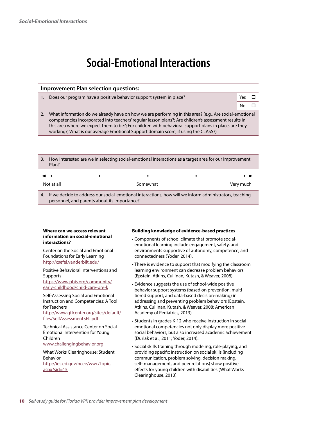# **Social-Emotional Interactions**

|                                                                                                                                                                                                                                                                                                                                                                                                                    | <b>Improvement Plan selection questions:</b>                                       |                                                                                                                                                                            |    |   |  |  |
|--------------------------------------------------------------------------------------------------------------------------------------------------------------------------------------------------------------------------------------------------------------------------------------------------------------------------------------------------------------------------------------------------------------------|------------------------------------------------------------------------------------|----------------------------------------------------------------------------------------------------------------------------------------------------------------------------|----|---|--|--|
| 1.                                                                                                                                                                                                                                                                                                                                                                                                                 | Does our program have a positive behavior support system in place?                 |                                                                                                                                                                            |    | П |  |  |
|                                                                                                                                                                                                                                                                                                                                                                                                                    |                                                                                    |                                                                                                                                                                            | No | □ |  |  |
| What information do we already have on how we are performing in this area? (e.g., Are social-emotional<br>2.<br>competencies incorporated into teachers' regular lesson plans?; Are children's assessment results in<br>this area where we expect them to be?; For children with behavioral support plans in place, are they<br>working?; What is our average Emotional Support domain score, if using the CLASS?) |                                                                                    |                                                                                                                                                                            |    |   |  |  |
|                                                                                                                                                                                                                                                                                                                                                                                                                    |                                                                                    |                                                                                                                                                                            |    |   |  |  |
| 3.                                                                                                                                                                                                                                                                                                                                                                                                                 | Plan?                                                                              | How interested are we in selecting social-emotional interactions as a target area for our Improvement                                                                      |    |   |  |  |
|                                                                                                                                                                                                                                                                                                                                                                                                                    |                                                                                    |                                                                                                                                                                            |    |   |  |  |
| Somewhat<br>Not at all<br>Very much                                                                                                                                                                                                                                                                                                                                                                                |                                                                                    |                                                                                                                                                                            |    |   |  |  |
| 4.                                                                                                                                                                                                                                                                                                                                                                                                                 | personnel, and parents about its importance?                                       | If we decide to address our social-emotional interactions, how will we inform administrators, teaching                                                                     |    |   |  |  |
|                                                                                                                                                                                                                                                                                                                                                                                                                    |                                                                                    |                                                                                                                                                                            |    |   |  |  |
|                                                                                                                                                                                                                                                                                                                                                                                                                    | Where can we access relevant                                                       | <b>Building knowledge of evidence-based practices</b>                                                                                                                      |    |   |  |  |
| information on social-emotional<br>interactions?<br>Center on the Social and Emotional<br>Foundations for Early Learning                                                                                                                                                                                                                                                                                           |                                                                                    | • Components of school climate that promote social-<br>emotional learning include engagement, safety, and                                                                  |    |   |  |  |
|                                                                                                                                                                                                                                                                                                                                                                                                                    |                                                                                    | environments supportive of autonomy, competence, and<br>connectedness (Yoder, 2014).                                                                                       |    |   |  |  |
|                                                                                                                                                                                                                                                                                                                                                                                                                    | http://csefel.vanderbilt.edu/<br>Positive Behavioral Interventions and<br>Supports | • There is evidence to support that modifying the classroom<br>learning environment can decrease problem behaviors<br>(Epstein, Atkins, Cullinan, Kutash, & Weaver, 2008). |    |   |  |  |

- Evidence suggests the use of school-wide positive behavior support systems (based on prevention, multitiered support, and data-based decision-making) in addressing and preventing problem behaviors (Epstein, Atkins, Cullinan, Kutash, & Weaver, 2008; American Academy of Pediatrics, 2013).
- Students in grades K-12 who receive instruction in socialemotional competencies not only display more positive social behaviors, but also increased academic achievement (Durlak et al., 2011; Yoder, 2014).
- Social skills training through modeling, role-playing, and providing specific instruction on social skills (including communication, problem solving, decision making, self- management, and peer relations) show positive effects for young children with disabilities (What Works Clearinghouse, 2013).

[https://www.pbis.org/community/](https://www.pbis.org/community/early-childhood/child-care-pre-k) [early-childhood/child-care-pre-k](https://www.pbis.org/community/early-childhood/child-care-pre-k) Self-Assessing Social and Emotional Instruction and Competencies: A Tool

[http://www.gtlcenter.org/sites/default/](http://www.gtlcenter.org/sites/default/files/SelfAssessmentSEL.pdf)

Technical Assistance Center on Social Emotional Intervention for Young

[files/SelfAssessmentSEL.pdf](http://www.gtlcenter.org/sites/default/files/SelfAssessmentSEL.pdf)

<www.challengingbehavior.org> What Works Clearinghouse: Student

[http://ies.ed.gov/ncee/wwc/Topic.](http://ies.ed.gov/ncee/wwc/Topic.aspx?sid=15)

for Teachers

Children

Behavior

[aspx?sid=15](http://ies.ed.gov/ncee/wwc/Topic.aspx?sid=15)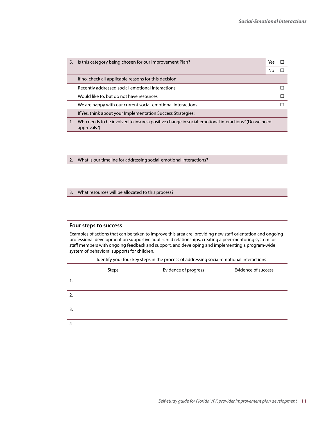| 5. | Is this category being chosen for our Improvement Plan?                                                           | Yes |  |
|----|-------------------------------------------------------------------------------------------------------------------|-----|--|
|    |                                                                                                                   | Nο  |  |
|    | If no, check all applicable reasons for this decision:                                                            |     |  |
|    | Recently addressed social-emotional interactions                                                                  |     |  |
|    | Would like to, but do not have resources                                                                          |     |  |
|    | We are happy with our current social-emotional interactions                                                       |     |  |
|    | If Yes, think about your Implementation Success Strategies:                                                       |     |  |
|    | Who needs to be involved to insure a positive change in social-emotional interactions? (Do we need<br>approvals?) |     |  |

2. What is our timeline for addressing social-emotional interactions?

3. What resources will be allocated to this process?

#### **Four steps to success**

Examples of actions that can be taken to improve this area are: providing new staff orientation and ongoing professional development on supportive adult-child relationships, creating a peer-mentoring system for staff members with ongoing feedback and support, and developing and implementing a program-wide system of behavioral supports for children.

|    | Identify your four key steps in the process of addressing social-emotional interactions |                      |                     |  |
|----|-----------------------------------------------------------------------------------------|----------------------|---------------------|--|
|    | <b>Steps</b>                                                                            | Evidence of progress | Evidence of success |  |
| 1. |                                                                                         |                      |                     |  |
| 2. |                                                                                         |                      |                     |  |
| 3. |                                                                                         |                      |                     |  |
| 4. |                                                                                         |                      |                     |  |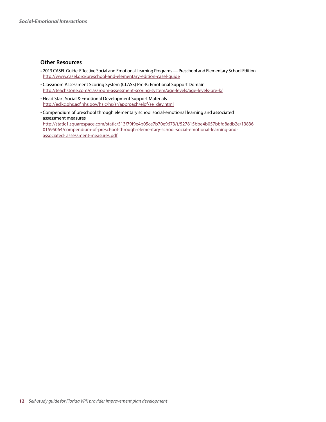#### **Other Resources**

- 2013 CASEL Guide: Effective Social and Emotional Learning Programs Preschool and Elementary School Edition <http://www.casel.org/preschool-and-elementary-edition-casel-guide>
- Classroom Assessment Scoring System (CLASS) Pre-K: Emotional Support Domain <http://teachstone.com/classroom-assessment-scoring-system/age-levels/age-levels-pre-k/>
- Head Start Social & Emotional Development Support Materials [http://eclkc.ohs.acf.hhs.gov/hslc/hs/sr/approach/elof/se\\_dev.html](http://eclkc.ohs.acf.hhs.gov/hslc/hs/sr/approach/elof/se_dev.html)
- Compendium of preschool through elementary school social-emotional learning and associated assessment measures [http://static1.squarespace.com/static/513f79f9e4b05ce7b70e9673/t/527815bbe4b057bbfd8adb2e/13836](http://static1.squarespace.com/static/513f79f9e4b05ce7b70e9673/t/527815bbe4b057bbfd8adb2e/13836 01595064/compendium-of-preschool-through-elementary-school-social-emotional-learning-and-associated- assessment-measures.pdf)  [01595064/compendium-of-preschool-through-elementary-school-social-emotional-learning-and](http://static1.squarespace.com/static/513f79f9e4b05ce7b70e9673/t/527815bbe4b057bbfd8adb2e/13836 01595064/compendium-of-preschool-through-elementary-school-social-emotional-learning-and-associated- assessment-measures.pdf)[associated- assessment-measures.pdf](http://static1.squarespace.com/static/513f79f9e4b05ce7b70e9673/t/527815bbe4b057bbfd8adb2e/13836 01595064/compendium-of-preschool-through-elementary-school-social-emotional-learning-and-associated- assessment-measures.pdf)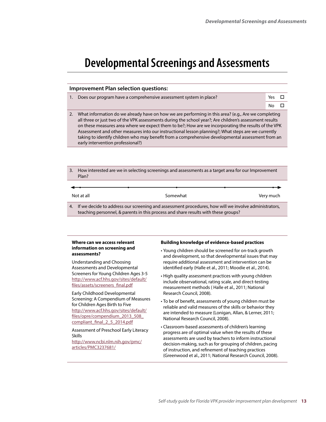## **Developmental Screenings and Assessments**

#### **Improvement Plan selection questions:**

- 1. Does our program have a comprehensive assessment system in place?  $\Box$  Yes  $\Box$  $No$   $\Box$ 2. What information do we already have on how we are performing in this area? (e.g., Are we completing all three or just two of the VPK assessments during the school year?; Are children's assessment results on these measures area where we expect them to be?; How are we incorporating the results of the VPK Assessment and other measures into our instructional lesson planning?; What steps are we currently taking to identify children who may benefit from a comprehensive developmental assessment from an early intervention professional?)
- 3. How interested are we in selecting screenings and assessments as a target area for our Improvement Plan?

| Not at all |  | Somewhat                                                                                                | Very much |
|------------|--|---------------------------------------------------------------------------------------------------------|-----------|
|            |  | 4. If we decide to address our screening and assessment procedures, how will we involve administrators, |           |

teaching personnel, & parents in this process and share results with these groups?

#### **Where can we access relevant information on screening and assessments?**

Understanding and Choosing Assessments and Developmental Screeners for Young Children Ages 3-5 [http://www.acf.hhs.gov/sites/default/](http://www.acf.hhs.gov/sites/default/files/assets/screeners_final.pdf) [files/assets/screeners\\_final.pdf](http://www.acf.hhs.gov/sites/default/files/assets/screeners_final.pdf)

Early Childhood Developmental Screening: A Compendium of Measures for Children Ages Birth to Five [http://www.acf.hhs.gov/sites/default/](http://www.acf.hhs.gov/sites/default/files/opre/compendium_2013_508_compliant_final_2_5_2014.pdf) [files/opre/compendium\\_2013\\_508\\_](http://www.acf.hhs.gov/sites/default/files/opre/compendium_2013_508_compliant_final_2_5_2014.pdf) [compliant\\_final\\_2\\_5\\_2014.pdf](http://www.acf.hhs.gov/sites/default/files/opre/compendium_2013_508_compliant_final_2_5_2014.pdf)

Assessment of Preschool Early Literacy Skills [http://www.ncbi.nlm.nih.gov/pmc/](http://www.ncbi.nlm.nih.gov/pmc/articles/PMC3237681/) [articles/PMC3237681/](http://www.ncbi.nlm.nih.gov/pmc/articles/PMC3237681/)

#### **Building knowledge of evidence-based practices** • Young children should be screened for on-track growth

- and development, so that developmental issues that may require additional assessment and intervention can be identified early (Halle et al., 2011; Moodie et al., 2014).
- High quality assessment practices with young children include observational, rating scale, and direct-testing measurement methods ( Halle et al., 2011; National Research Council, 2008).
- To be of benefit, assessments of young children must be reliable and valid measures of the skills or behavior they are intended to measure (Lonigan, Allan, & Lerner, 2011; National Research Council, 2008).
- Classroom-based assessments of children's learning progress are of optimal value when the results of these assessments are used by teachers to inform instructional decision-making, such as for grouping of children, pacing of instruction, and refinement of teaching practices (Greenwood et al., 2011; National Research Council, 2008).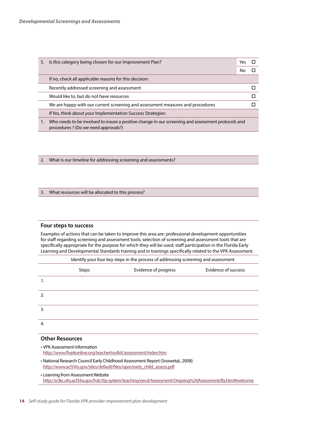|    | 5. Is this category being chosen for our Improvement Plan?                                                                                 | Yes |  |
|----|--------------------------------------------------------------------------------------------------------------------------------------------|-----|--|
|    |                                                                                                                                            | N٥  |  |
|    | If no, check all applicable reasons for this decision:                                                                                     |     |  |
|    | Recently addressed screening and assessment                                                                                                |     |  |
|    | Would like to, but do not have resources                                                                                                   |     |  |
|    | We are happy with our current screening and assessment measures and procedures                                                             |     |  |
|    | If Yes, think about your Implementation Success Strategies:                                                                                |     |  |
| 1. | Who needs to be involved to insure a positive change in our screening and assessment protocols and<br>procedures ? (Do we need approvals?) |     |  |

2. What is our timeline for addressing screening and assessments?

3. What resources will be allocated to this process?

#### **Four steps to success**

Examples of actions that can be taken to improve this area are: professional development opportunities for staff regarding screening and assessment tools; selection of screening and assessment tools that are specifically appropriate for the purpose for which they will be used; staff participation in the Florida Early Learning and Developmental Standards training and in trainings specifically related to the VPK Assessment.

|    | Identify your four key steps in the process of addressing screening and assessment |                      |                     |  |
|----|------------------------------------------------------------------------------------|----------------------|---------------------|--|
|    | <b>Steps</b>                                                                       | Evidence of progress | Evidence of success |  |
|    |                                                                                    |                      |                     |  |
|    |                                                                                    |                      |                     |  |
| 3. |                                                                                    |                      |                     |  |
| 4. |                                                                                    |                      |                     |  |

#### **Other Resources**

• VPK Assessment Information <http://www.flvpkonline.org/teachertoolkit/assessment/index.htm>

• National Research Council Early Childhood Assessment Report (Snowetal., 2008) [http://www.acf.hhs.gov/sites/default/files/opre/early\\_child\\_assess.pdf](http://www.acf.hhs.gov/sites/default/files/opre/early_child_assess.pdf)

• Learning from Assessment Website <http://eclkc.ohs.acf.hhs.gov/hslc/tta-system/teaching/eecd/Assessment/Ongoing%20Assessment/lfa.html#welcome>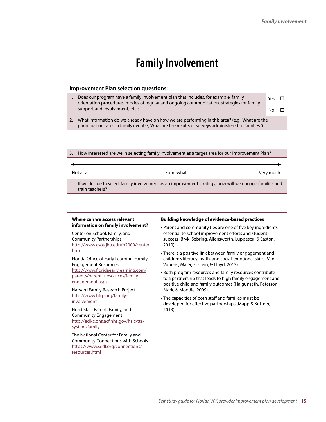### **Family Involvement**

#### **Improvement Plan selection questions:**

- 1. Does our program have a family involvement plan that includes, for example, family orientation procedures, modes of regular and ongoing communication, strategies for family support and involvement, etc.? Yes □ No **O**
- 2. What information do we already have on how we are performing in this area? (e.g., What are the participation rates in family events?; What are the results of surveys administered to families?)

3. How interested are we in selecting family involvement as a target area for our Improvement Plan?

| Not at all      | Somewhat                                                                                                 | Very much |
|-----------------|----------------------------------------------------------------------------------------------------------|-----------|
| train teachers? | 4. If we decide to select family involvement as an improvement strategy, how will we engage families and |           |

#### **Where can we access relevant information on family involvement?**

Center on School, Family, and Community Partnerships [http://www.csos.jhu.edu/p2000/center.](http://www.csos.jhu.edu/p2000/center.htm) [htm](http://www.csos.jhu.edu/p2000/center.htm)

Florida Office of Early Learning: Family Engagement Resources [http://www.floridaearlylearning.com/](http://www.floridaearlylearning.com/parents/parent_r esources/family_engagement.aspx) [parents/parent\\_r esources/family\\_](http://www.floridaearlylearning.com/parents/parent_r esources/family_engagement.aspx) [engagement.aspx](http://www.floridaearlylearning.com/parents/parent_r esources/family_engagement.aspx)

Harvard Family Research Project [http://www.hfrp.org/family](http://www.hfrp.org/family-involvement)[involvement](http://www.hfrp.org/family-involvement)

Head Start Parent, Family, and Community Engagement [http://eclkc.ohs.acf.hhs.gov/hslc/tta](http://eclkc.ohs.acf.hhs.gov/hslc/tta-system/family)[system/family](http://eclkc.ohs.acf.hhs.gov/hslc/tta-system/family)

The National Center for Family and Community Connections with Schools [https://www.sedl.org/connections/](https://www.sedl.org/connections/resources.html) [resources.html](https://www.sedl.org/connections/resources.html)

#### **Building knowledge of evidence-based practices**

- Parent and community ties are one of five key ingredients essential to school improvement efforts and student success (Bryk, Sebring, Allensworth, Luppescu, & Easton, 2010).
- There is a positive link between family engagement and children's literacy, math, and social-emotional skills (Van Voorhis, Maier, Epstein, & Lloyd, 2013).
- Both program resources and family resources contribute to a partnership that leads to high family engagement and positive child and family outcomes (Halgunseth, Peterson, Stark, & Moodie, 2009).
- The capacities of both staff and families must be developed for effective partnerships (Mapp & Kuttner, 2013).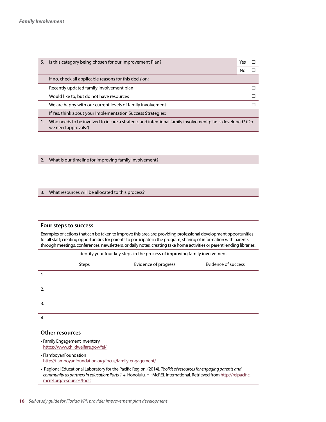| 5. | Is this category being chosen for our Improvement Plan?                                                                         | Yes |  |
|----|---------------------------------------------------------------------------------------------------------------------------------|-----|--|
|    |                                                                                                                                 | Nο  |  |
|    | If no, check all applicable reasons for this decision:                                                                          |     |  |
|    | Recently updated family involvement plan                                                                                        |     |  |
|    | Would like to, but do not have resources                                                                                        |     |  |
|    | We are happy with our current levels of family involvement                                                                      |     |  |
|    | If Yes, think about your Implementation Success Strategies:                                                                     |     |  |
|    | Who needs to be involved to insure a strategic and intentional family involvement plan is developed? (Do<br>we need approvals?) |     |  |

2. What is our timeline for improving family involvement?

3. What resources will be allocated to this process?

#### **Four steps to success**

Examples of actions that can be taken to improve this area are: providing professional development opportunities for all staff; creating opportunities for parents to participate in the program; sharing of information with parents through meetings, conferences, newsletters, or daily notes, creating take home activities or parent lending libraries.

|    | Identify your four key steps in the process of improving family involvement |                      |                     |  |  |  |
|----|-----------------------------------------------------------------------------|----------------------|---------------------|--|--|--|
|    | <b>Steps</b>                                                                | Evidence of progress | Evidence of success |  |  |  |
| 1. |                                                                             |                      |                     |  |  |  |
| 2. |                                                                             |                      |                     |  |  |  |
| 3. |                                                                             |                      |                     |  |  |  |
| 4. |                                                                             |                      |                     |  |  |  |
|    | Other resources                                                             |                      |                     |  |  |  |
|    |                                                                             |                      |                     |  |  |  |

• Family Engagement Inventory <https://www.childwelfare.gov/fei/> • FlamboyanFoundation

<http://flamboyanfoundation.org/focus/family-engagement/>

• Regional Educational Laboratory for the Pacific Region. (2014). *Toolkit of resources for engaging parents and community as partners in education: Parts 1-4*. Honolulu, HI: McREL International. Retrieved from [http://relpacific.](http://relpacific.mcrel.org/resources/tools) [mcrel.org/resources/tools](http://relpacific.mcrel.org/resources/tools)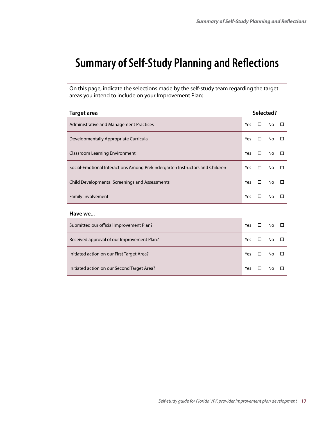# **Summary of Self-Study Planning and Reflections**

On this page, indicate the selections made by the self-study team regarding the target areas you intend to include on your Improvement Plan:

| Target area                                                                  |            | Selected? |    |   |
|------------------------------------------------------------------------------|------------|-----------|----|---|
| <b>Administrative and Management Practices</b>                               | <b>Yes</b> | П         | No | П |
| Developmentally Appropriate Curricula                                        | <b>Yes</b> | □         | No | □ |
| <b>Classroom Learning Environment</b>                                        | Yes        | П         | No | ш |
| Social-Emotional Interactions Among Prekindergarten Instructors and Children | <b>Yes</b> | □         | No | П |
| Child Developmental Screenings and Assessments                               | <b>Yes</b> | □         | No | □ |
| Family Involvement                                                           | <b>Yes</b> | □         | No | □ |
| Have we                                                                      |            |           |    |   |
| Submitted our official Improvement Plan?                                     | <b>Yes</b> | □         | No | □ |
| Received approval of our Improvement Plan?                                   | Yes        | □         | No | п |
| Initiated action on our First Target Area?                                   | <b>Yes</b> | □         | No | п |
| Initiated action on our Second Target Area?                                  | <b>Yes</b> | П         | No | п |